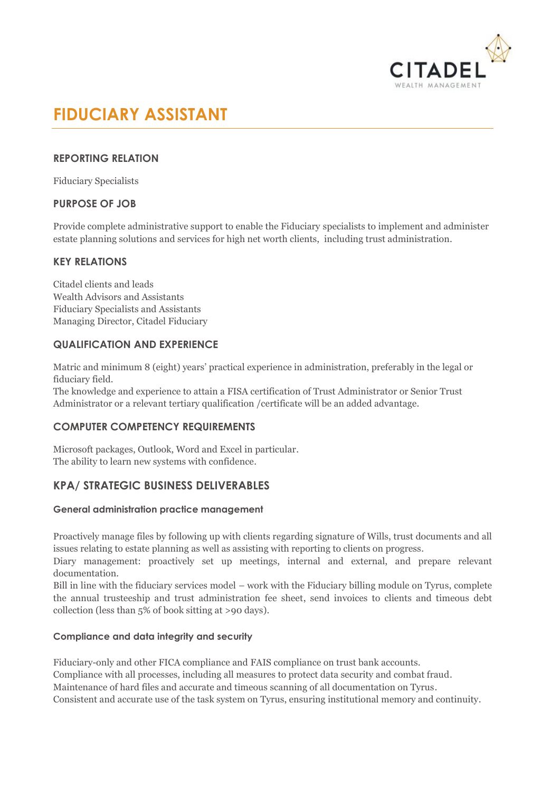

# **FIDUCIARY ASSISTANT**

# **REPORTING RELATION**

Fiduciary Specialists

# **PURPOSE OF JOB**

Provide complete administrative support to enable the Fiduciary specialists to implement and administer estate planning solutions and services for high net worth clients, including trust administration.

# **KEY RELATIONS**

Citadel clients and leads Wealth Advisors and Assistants Fiduciary Specialists and Assistants Managing Director, Citadel Fiduciary

# **QUALIFICATION AND EXPERIENCE**

Matric and minimum 8 (eight) years' practical experience in administration, preferably in the legal or fiduciary field.

The knowledge and experience to attain a FISA certification of Trust Administrator or Senior Trust Administrator or a relevant tertiary qualification /certificate will be an added advantage.

# **COMPUTER COMPETENCY REQUIREMENTS**

Microsoft packages, Outlook, Word and Excel in particular. The ability to learn new systems with confidence.

# **KPA/ STRATEGIC BUSINESS DELIVERABLES**

#### **General administration practice management**

Proactively manage files by following up with clients regarding signature of Wills, trust documents and all issues relating to estate planning as well as assisting with reporting to clients on progress.

Diary management: proactively set up meetings, internal and external, and prepare relevant documentation.

Bill in line with the fiduciary services model – work with the Fiduciary billing module on Tyrus, complete the annual trusteeship and trust administration fee sheet, send invoices to clients and timeous debt collection (less than 5% of book sitting at >90 days).

# **Compliance and data integrity and security**

Fiduciary-only and other FICA compliance and FAIS compliance on trust bank accounts. Compliance with all processes, including all measures to protect data security and combat fraud. Maintenance of hard files and accurate and timeous scanning of all documentation on Tyrus. Consistent and accurate use of the task system on Tyrus, ensuring institutional memory and continuity.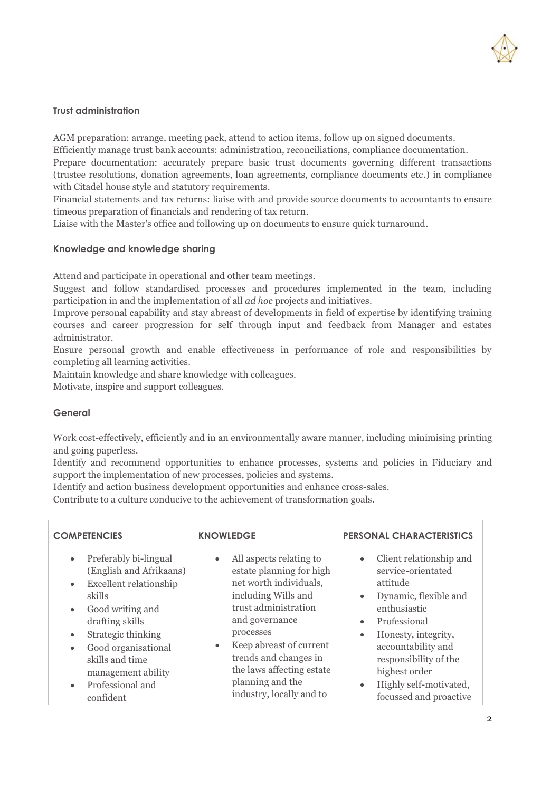

#### **Trust administration**

AGM preparation: arrange, meeting pack, attend to action items, follow up on signed documents. Efficiently manage trust bank accounts: administration, reconciliations, compliance documentation.

Prepare documentation: accurately prepare basic trust documents governing different transactions (trustee resolutions, donation agreements, loan agreements, compliance documents etc.) in compliance with Citadel house style and statutory requirements.

Financial statements and tax returns: liaise with and provide source documents to accountants to ensure timeous preparation of financials and rendering of tax return.

Liaise with the Master's office and following up on documents to ensure quick turnaround.

#### **Knowledge and knowledge sharing**

Attend and participate in operational and other team meetings.

Suggest and follow standardised processes and procedures implemented in the team, including participation in and the implementation of all *ad hoc* projects and initiatives.

Improve personal capability and stay abreast of developments in field of expertise by identifying training courses and career progression for self through input and feedback from Manager and estates administrator.

Ensure personal growth and enable effectiveness in performance of role and responsibilities by completing all learning activities.

Maintain knowledge and share knowledge with colleagues.

Motivate, inspire and support colleagues.

#### **General**

Work cost-effectively, efficiently and in an environmentally aware manner, including minimising printing and going paperless.

Identify and recommend opportunities to enhance processes, systems and policies in Fiduciary and support the implementation of new processes, policies and systems.

Identify and action business development opportunities and enhance cross-sales.

Contribute to a culture conducive to the achievement of transformation goals.

| <b>COMPETENCIES</b>                                                                                                                                                                                                                                                                                                                     | <b>KNOWLEDGE</b>                                                                                                                                                                                                                                                                                                       | <b>PERSONAL CHARACTERISTICS</b>                                                                                                                                                                                                                                                                                                |
|-----------------------------------------------------------------------------------------------------------------------------------------------------------------------------------------------------------------------------------------------------------------------------------------------------------------------------------------|------------------------------------------------------------------------------------------------------------------------------------------------------------------------------------------------------------------------------------------------------------------------------------------------------------------------|--------------------------------------------------------------------------------------------------------------------------------------------------------------------------------------------------------------------------------------------------------------------------------------------------------------------------------|
| Preferably bi-lingual<br>$\bullet$<br>(English and Afrikaans)<br><b>Excellent relationship</b><br>$\bullet$<br>skills<br>Good writing and<br>$\bullet$<br>drafting skills<br>Strategic thinking<br>$\bullet$<br>Good organisational<br>$\bullet$<br>skills and time<br>management ability<br>Professional and<br>$\bullet$<br>confident | All aspects relating to<br>$\bullet$<br>estate planning for high<br>net worth individuals,<br>including Wills and<br>trust administration<br>and governance<br>processes<br>Keep abreast of current<br>$\bullet$<br>trends and changes in<br>the laws affecting estate<br>planning and the<br>industry, locally and to | Client relationship and<br>$\bullet$<br>service-orientated<br>attitude<br>Dynamic, flexible and<br>$\bullet$<br>enthusiastic<br>Professional<br>$\bullet$<br>Honesty, integrity,<br>$\bullet$<br>accountability and<br>responsibility of the<br>highest order<br>Highly self-motivated,<br>$\bullet$<br>focussed and proactive |